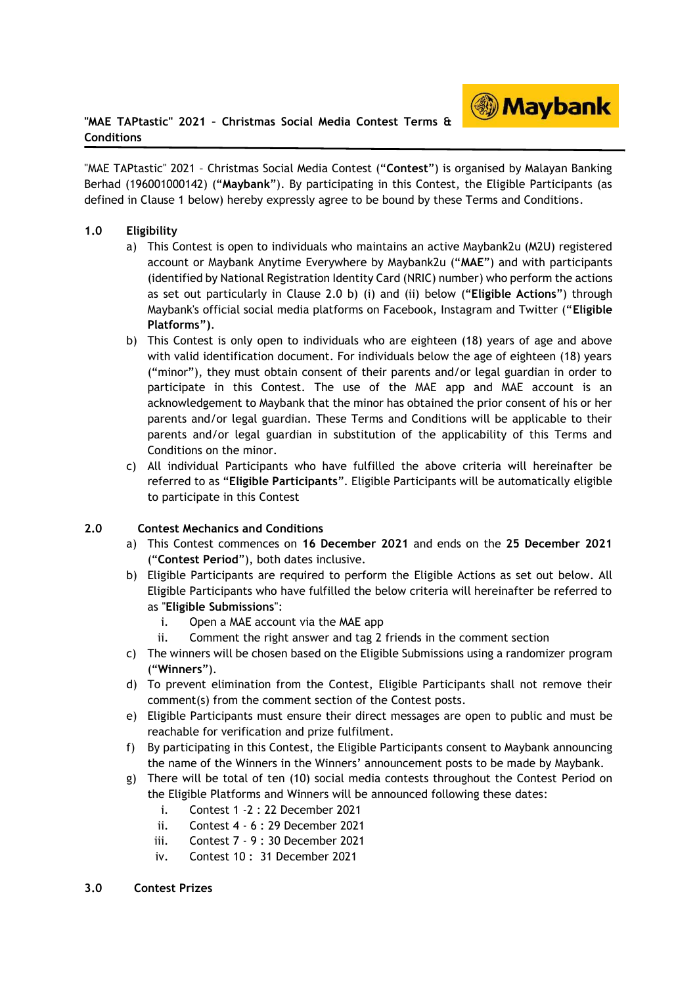

"MAE TAPtastic" 2021 – Christmas Social Media Contest ("**Contest**") is organised by Malayan Banking Berhad (196001000142) ("**Maybank**"). By participating in this Contest, the Eligible Participants (as defined in Clause 1 below) hereby expressly agree to be bound by these Terms and Conditions.

## **1.0 Eligibility**

- a) This Contest is open to individuals who maintains an active Maybank2u (M2U) registered account or Maybank Anytime Everywhere by Maybank2u ("**MAE**") and with participants (identified by National Registration Identity Card (NRIC) number) who perform the actions as set out particularly in Clause 2.0 b) (i) and (ii) below ("**Eligible Actions**") through Maybank's official social media platforms on Facebook, Instagram and Twitter ("**Eligible Platforms")**.
- b) This Contest is only open to individuals who are eighteen (18) years of age and above with valid identification document. For individuals below the age of eighteen (18) years ("minor"), they must obtain consent of their parents and/or legal guardian in order to participate in this Contest. The use of the MAE app and MAE account is an acknowledgement to Maybank that the minor has obtained the prior consent of his or her parents and/or legal guardian. These Terms and Conditions will be applicable to their parents and/or legal guardian in substitution of the applicability of this Terms and Conditions on the minor.
- c) All individual Participants who have fulfilled the above criteria will hereinafter be referred to as "**Eligible Participants**". Eligible Participants will be automatically eligible to participate in this Contest

## **2.0 Contest Mechanics and Conditions**

- a) This Contest commences on **16 December 2021** and ends on the **25 December 2021** ("**Contest Period**"), both dates inclusive.
- b) Eligible Participants are required to perform the Eligible Actions as set out below. All Eligible Participants who have fulfilled the below criteria will hereinafter be referred to as "**Eligible Submissions**":
	- i. Open a MAE account via the MAE app
	- ii. Comment the right answer and tag 2 friends in the comment section
- c) The winners will be chosen based on the Eligible Submissions using a randomizer program ("**Winners**").
- d) To prevent elimination from the Contest, Eligible Participants shall not remove their comment(s) from the comment section of the Contest posts.
- e) Eligible Participants must ensure their direct messages are open to public and must be reachable for verification and prize fulfilment.
- f) By participating in this Contest, the Eligible Participants consent to Maybank announcing the name of the Winners in the Winners' announcement posts to be made by Maybank.
- g) There will be total of ten (10) social media contests throughout the Contest Period on the Eligible Platforms and Winners will be announced following these dates:
	- i. Contest 1 -2 : 22 December 2021
	- ii. Contest 4 6 : 29 December 2021
	- iii. Contest 7 9 : 30 December 2021
	- iv. Contest 10 : 31 December 2021
- **3.0 Contest Prizes**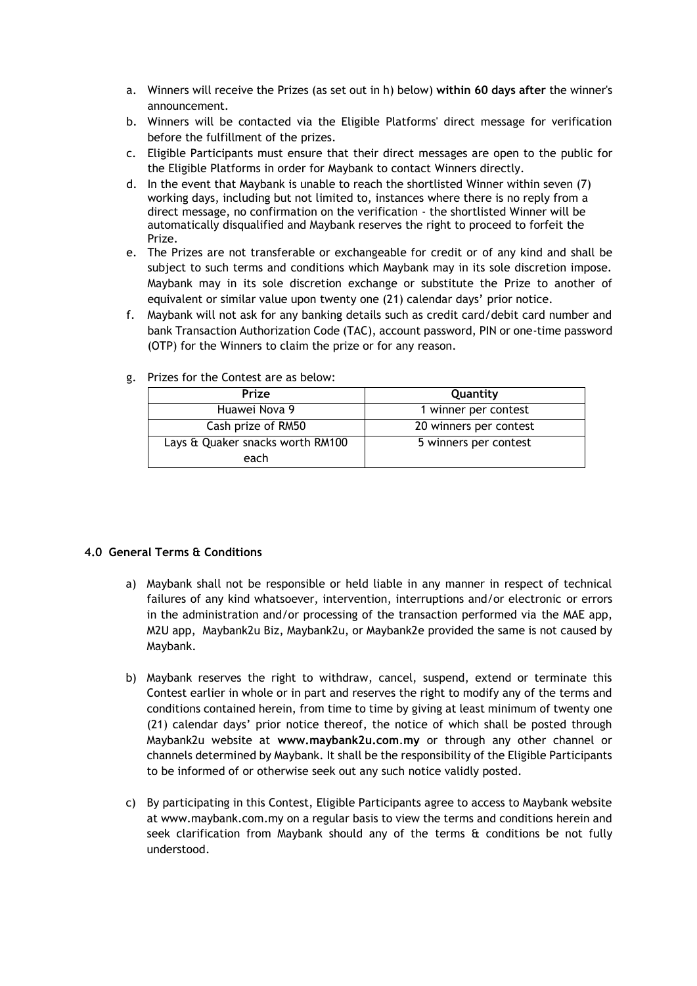- a. Winners will receive the Prizes (as set out in h) below) **within 60 days after** the winner's announcement.
- b. Winners will be contacted via the Eligible Platforms' direct message for verification before the fulfillment of the prizes.
- c. Eligible Participants must ensure that their direct messages are open to the public for the Eligible Platforms in order for Maybank to contact Winners directly.
- d. In the event that Maybank is unable to reach the shortlisted Winner within seven (7) working days, including but not limited to, instances where there is no reply from a direct message, no confirmation on the verification - the shortlisted Winner will be automatically disqualified and Maybank reserves the right to proceed to forfeit the Prize.
- e. The Prizes are not transferable or exchangeable for credit or of any kind and shall be subject to such terms and conditions which Maybank may in its sole discretion impose. Maybank may in its sole discretion exchange or substitute the Prize to another of equivalent or similar value upon twenty one (21) calendar days' prior notice.
- f. Maybank will not ask for any banking details such as credit card/debit card number and bank Transaction Authorization Code (TAC), account password, PIN or one-time password (OTP) for the Winners to claim the prize or for any reason.

| Prize                                    | Quantity               |
|------------------------------------------|------------------------|
| Huawei Nova 9                            | 1 winner per contest   |
| Cash prize of RM50                       | 20 winners per contest |
| Lays & Quaker snacks worth RM100<br>each | 5 winners per contest  |

## g. Prizes for the Contest are as below:

## **4.0 General Terms & Conditions**

- a) Maybank shall not be responsible or held liable in any manner in respect of technical failures of any kind whatsoever, intervention, interruptions and/or electronic or errors in the administration and/or processing of the transaction performed via the MAE app, M2U app, Maybank2u Biz, Maybank2u, or Maybank2e provided the same is not caused by Maybank.
- b) Maybank reserves the right to withdraw, cancel, suspend, extend or terminate this Contest earlier in whole or in part and reserves the right to modify any of the terms and conditions contained herein, from time to time by giving at least minimum of twenty one (21) calendar days' prior notice thereof, the notice of which shall be posted through Maybank2u website at **www.maybank2u.com**.**my** or through any other channel or channels determined by Maybank. It shall be the responsibility of the Eligible Participants to be informed of or otherwise seek out any such notice validly posted.
- c) By participating in this Contest, Eligible Participants agree to access to Maybank website at www.maybank.com.my on a regular basis to view the terms and conditions herein and seek clarification from Maybank should any of the terms  $\hat{a}$  conditions be not fully understood.